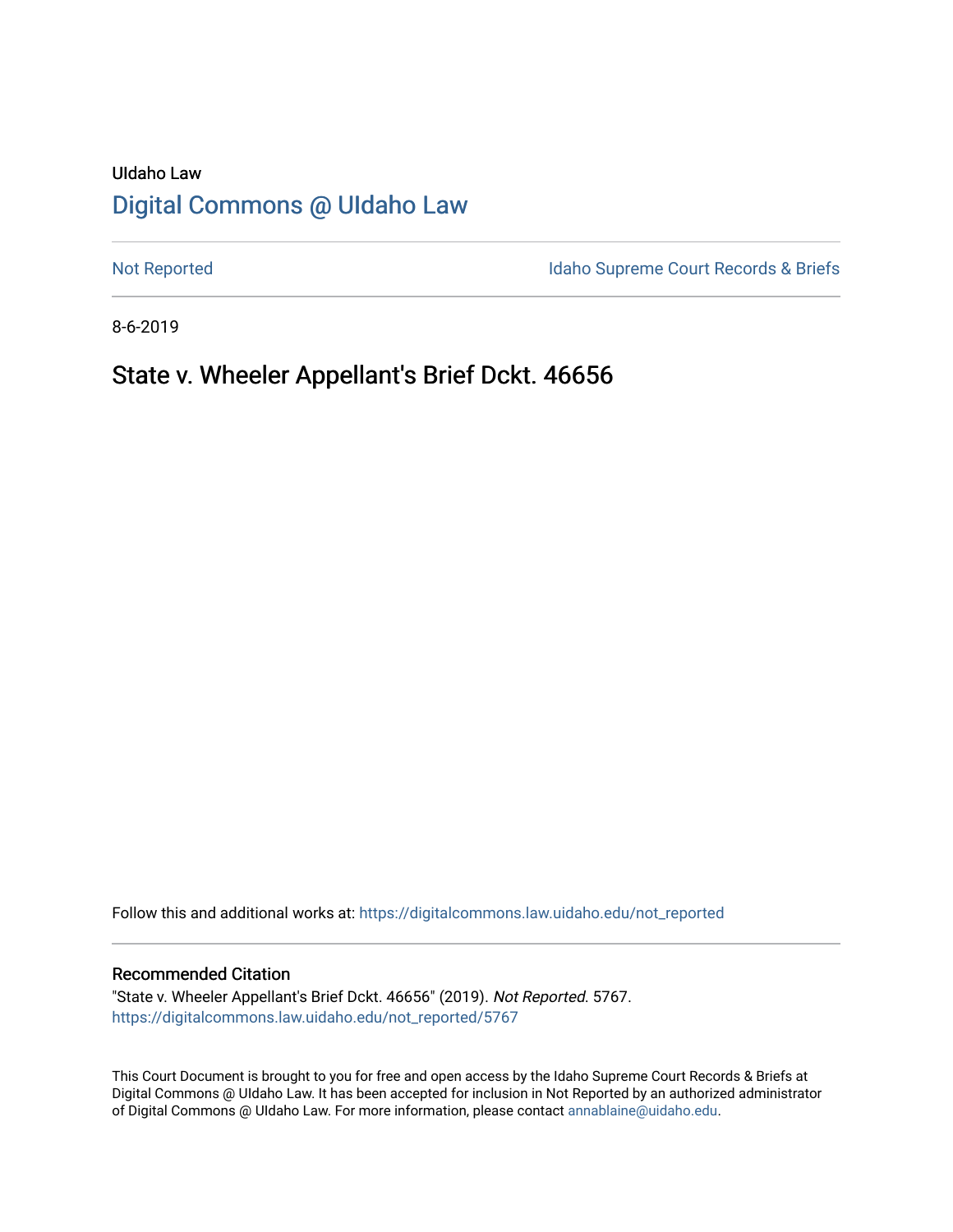# UIdaho Law [Digital Commons @ UIdaho Law](https://digitalcommons.law.uidaho.edu/)

[Not Reported](https://digitalcommons.law.uidaho.edu/not_reported) **Idaho Supreme Court Records & Briefs** 

8-6-2019

# State v. Wheeler Appellant's Brief Dckt. 46656

Follow this and additional works at: [https://digitalcommons.law.uidaho.edu/not\\_reported](https://digitalcommons.law.uidaho.edu/not_reported?utm_source=digitalcommons.law.uidaho.edu%2Fnot_reported%2F5767&utm_medium=PDF&utm_campaign=PDFCoverPages) 

#### Recommended Citation

"State v. Wheeler Appellant's Brief Dckt. 46656" (2019). Not Reported. 5767. [https://digitalcommons.law.uidaho.edu/not\\_reported/5767](https://digitalcommons.law.uidaho.edu/not_reported/5767?utm_source=digitalcommons.law.uidaho.edu%2Fnot_reported%2F5767&utm_medium=PDF&utm_campaign=PDFCoverPages)

This Court Document is brought to you for free and open access by the Idaho Supreme Court Records & Briefs at Digital Commons @ UIdaho Law. It has been accepted for inclusion in Not Reported by an authorized administrator of Digital Commons @ UIdaho Law. For more information, please contact [annablaine@uidaho.edu](mailto:annablaine@uidaho.edu).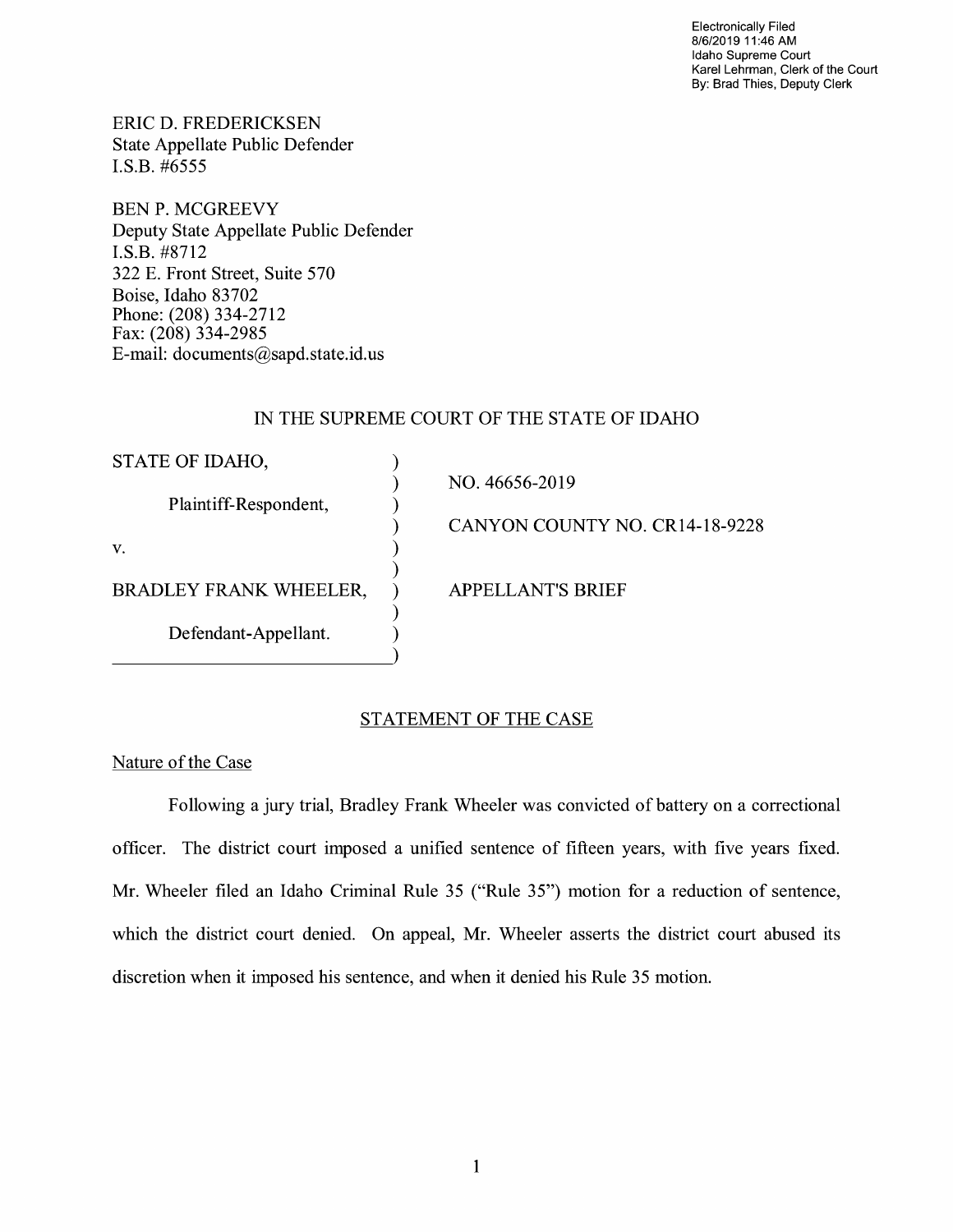Electronically Filed 8/6/2019 11 :46 AM Idaho Supreme Court Karel Lehrman, Clerk of the Court By: Brad Thies, Deputy Clerk

ERIC D. FREDERICKSEN State Appellate Public Defender I.S.B. #6555

BEN P. MCGREEVY Deputy State Appellate Public Defender **I.S.B.** #8712 322 E. Front Street, Suite 570 Boise, Idaho 83702 Phone: (208) 334-2712 Fax: (208) 334-2985 E-mail: documents@sapd.state.id. us

## IN THE SUPREME COURT OF THE STATE OF IDAHO

| STATE OF IDAHO,               |                                |
|-------------------------------|--------------------------------|
|                               | NO. 46656-2019                 |
| Plaintiff-Respondent,         |                                |
|                               | CANYON COUNTY NO. CR14-18-9228 |
| V.                            |                                |
|                               |                                |
| <b>BRADLEY FRANK WHEELER,</b> | <b>APPELLANT'S BRIEF</b>       |
|                               |                                |
| Defendant-Appellant.          |                                |
|                               |                                |

## STATEMENT OF THE CASE

Nature of the Case

Following a jury trial, Bradley Frank Wheeler was convicted of battery on a correctional officer. The district court imposed a unified sentence of fifteen years, with five years fixed. Mr. Wheeler filed an Idaho Criminal Rule 35 ("Rule 35") motion for a reduction of sentence, which the district court denied. On appeal, Mr. Wheeler asserts the district court abused its discretion when it imposed his sentence, and when it denied his Rule 35 motion.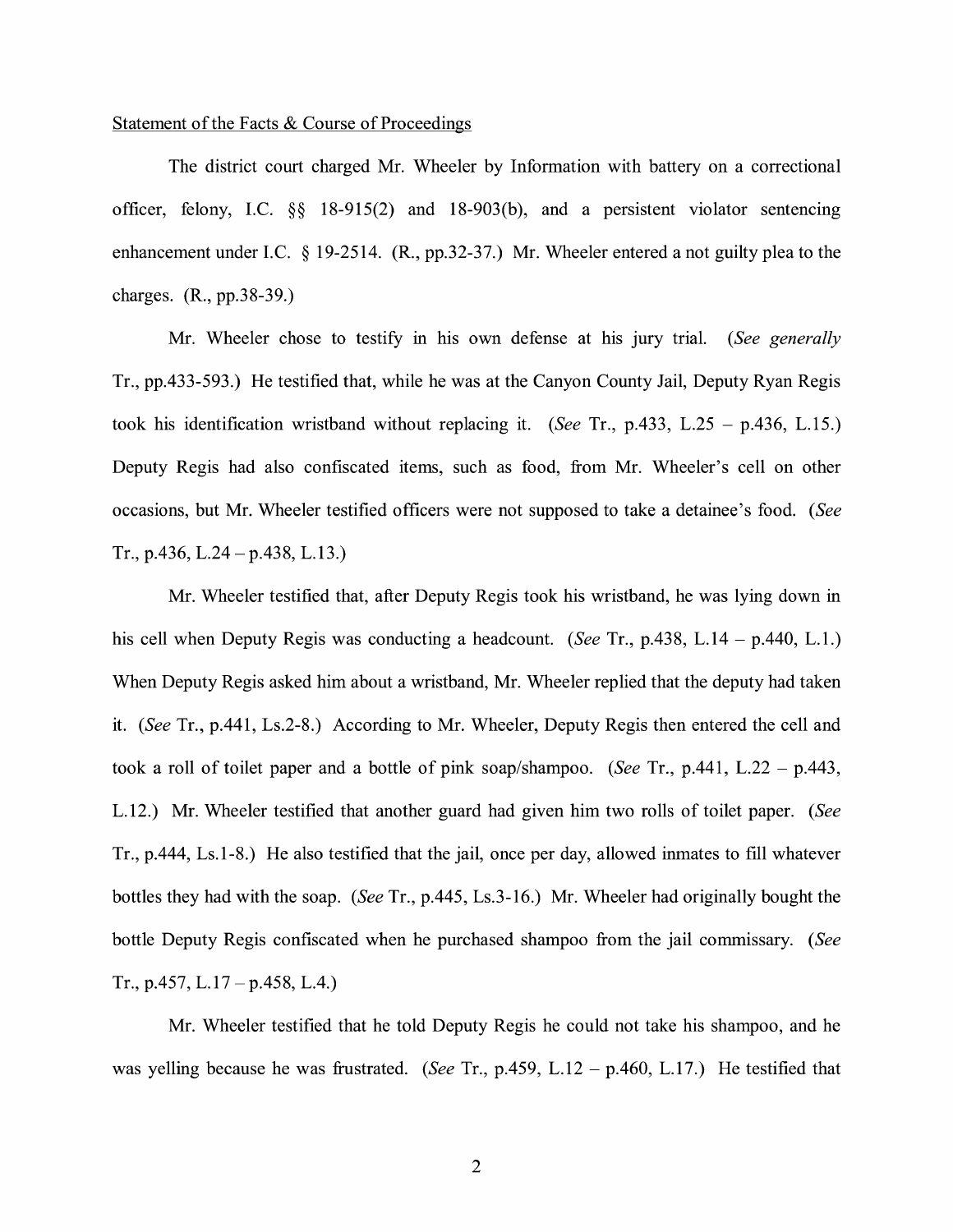## Statement of the Facts & Course of Proceedings

The district court charged Mr. Wheeler by Information with battery on a correctional officer, felony, I.C. §§ 18-915(2) and 18-903(b), and a persistent violator sentencing enhancement under I.C. § 19-2514. (R., pp.32-37.) Mr. Wheeler entered a not guilty plea to the charges. (R., pp.38-39.)

Mr. Wheeler chose to testify in his own defense at his jury trial. *(See generally*  Tr., pp.433-593.) He testified that, while he was at the Canyon County Jail, Deputy Ryan Regis took his identification wristband without replacing it. *(See* Tr., p.433, L.25 - p.436, L. 15.) Deputy Regis had also confiscated items, such as food, from Mr. Wheeler's cell on other occasions, but Mr. Wheeler testified officers were not supposed to take a detainee's food. *(See*  Tr., p.436, L.24 – p.438, L.13.)

Mr. Wheeler testified that, after Deputy Regis took his wristband, he was lying down in his cell when Deputy Regis was conducting a headcount. *(See Tr., p.438, L.14 – p.440, L.1.)* When Deputy Regis asked him about a wristband, Mr. Wheeler replied that the deputy had taken it. *(See* Tr., p.441, Ls.2-8.) According to Mr. Wheeler, Deputy Regis then entered the cell and took a roll of toilet paper and a bottle of pink soap/shampoo. *(See* Tr., p.441, L.22 - p.443, L.12.) Mr. Wheeler testified that another guard had given him two rolls of toilet paper. *(See*  Tr., p.444, Ls.1-8.) He also testified that the jail, once per day, allowed inmates to fill whatever bottles they had with the soap. *(See* Tr., p.445, Ls.3-16.) Mr. Wheeler had originally bought the bottle Deputy Regis confiscated when he purchased shampoo from the jail commissary. *(See*  Tr., p.457, L.17 – p.458, L.4.)

Mr. Wheeler testified that he told Deputy Regis he could not take his shampoo, and he was yelling because he was frustrated. *(See* Tr., p.459, L.12 - p.460, L.17.) He testified that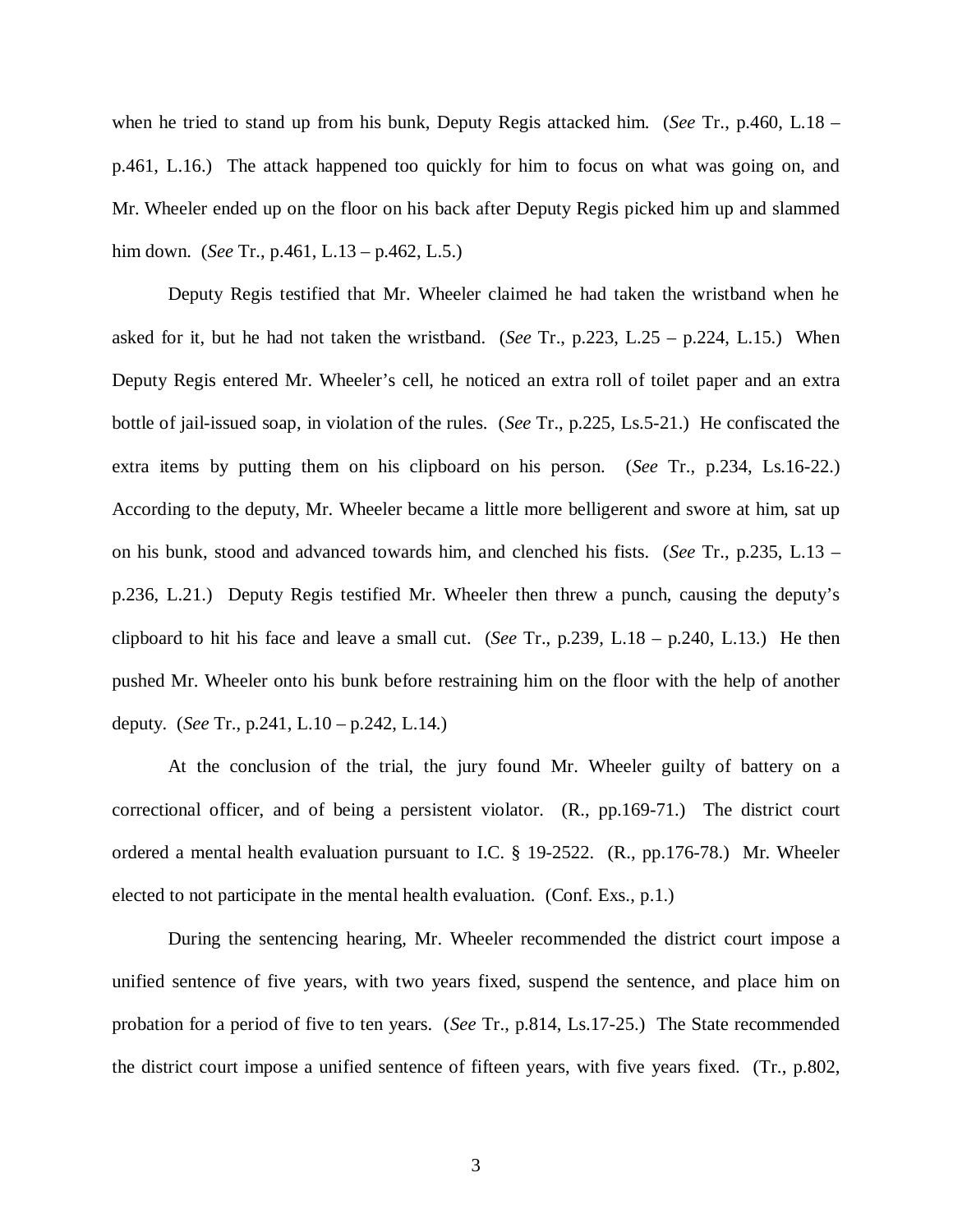when he tried to stand up from his bunk, Deputy Regis attacked him. (*See* Tr., p.460, L.18 – p.461, L.16.) The attack happened too quickly for him to focus on what was going on, and Mr. Wheeler ended up on the floor on his back after Deputy Regis picked him up and slammed him down. (*See* Tr., p.461, L.13 – p.462, L.5.)

Deputy Regis testified that Mr. Wheeler claimed he had taken the wristband when he asked for it, but he had not taken the wristband. (*See* Tr., p.223, L.25 – p.224, L.15.) When Deputy Regis entered Mr. Wheeler's cell, he noticed an extra roll of toilet paper and an extra bottle of jail-issued soap, in violation of the rules. (*See* Tr., p.225, Ls.5-21.) He confiscated the extra items by putting them on his clipboard on his person. (*See* Tr., p.234, Ls.16-22.) According to the deputy, Mr. Wheeler became a little more belligerent and swore at him, sat up on his bunk, stood and advanced towards him, and clenched his fists. (*See* Tr., p.235, L.13 – p.236, L.21.) Deputy Regis testified Mr. Wheeler then threw a punch, causing the deputy's clipboard to hit his face and leave a small cut. (*See* Tr., p.239, L.18 – p.240, L.13.) He then pushed Mr. Wheeler onto his bunk before restraining him on the floor with the help of another deputy. (*See* Tr., p.241, L.10 – p.242, L.14.)

At the conclusion of the trial, the jury found Mr. Wheeler guilty of battery on a correctional officer, and of being a persistent violator. (R., pp.169-71.) The district court ordered a mental health evaluation pursuant to I.C. § 19-2522. (R., pp.176-78.) Mr. Wheeler elected to not participate in the mental health evaluation. (Conf. Exs., p.1.)

During the sentencing hearing, Mr. Wheeler recommended the district court impose a unified sentence of five years, with two years fixed, suspend the sentence, and place him on probation for a period of five to ten years. (*See* Tr., p.814, Ls.17-25.) The State recommended the district court impose a unified sentence of fifteen years, with five years fixed. (Tr., p.802,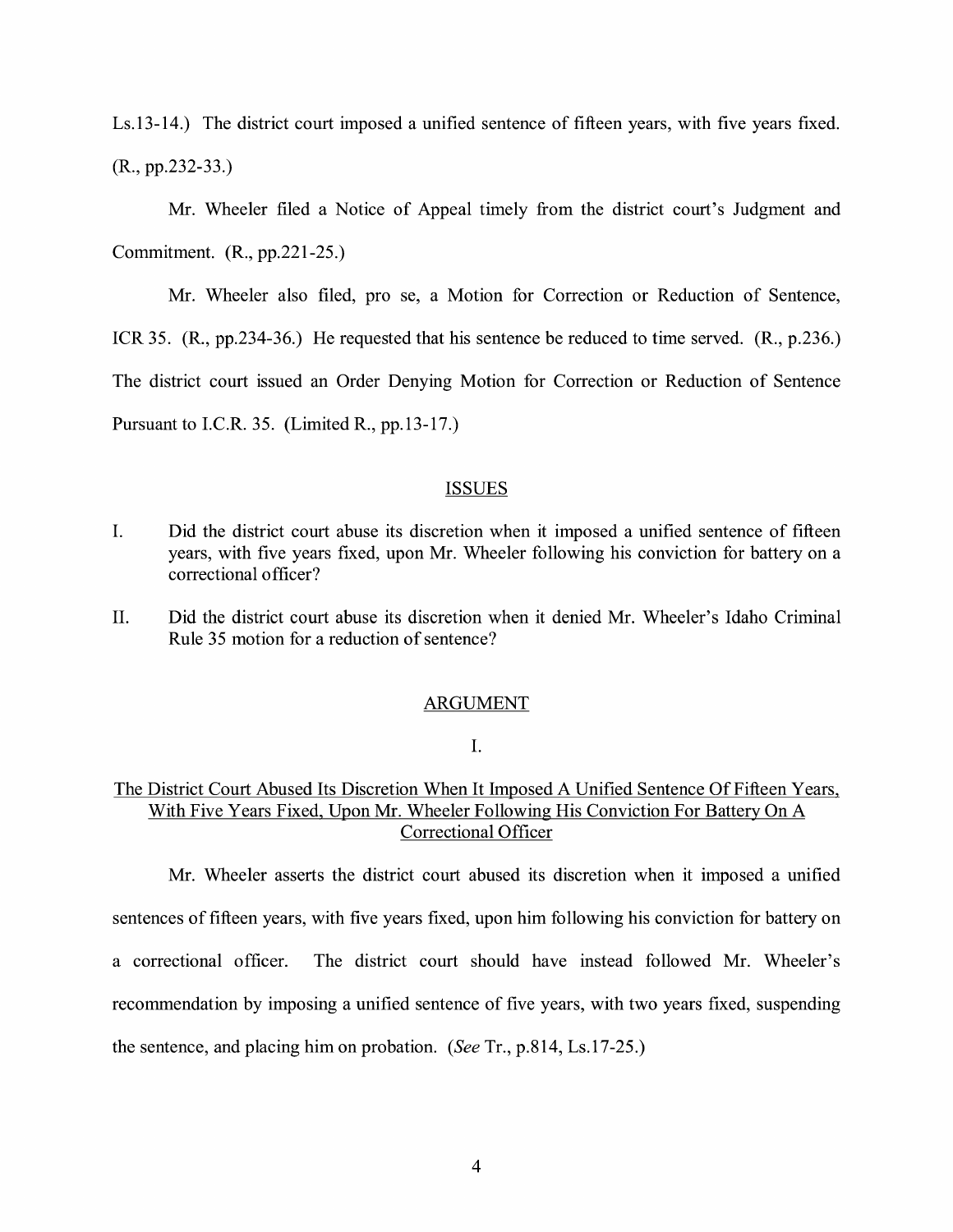Ls.13-14.) The district court imposed a unified sentence of fifteen years, with five years fixed. (R., pp.232-33.)

Mr. Wheeler filed a Notice of Appeal timely from the district court's Judgment and Commitment. (R., pp.221-25.)

Mr. Wheeler also filed, pro se, a Motion for Correction or Reduction of Sentence,

ICR 35. (R., pp.234-36.) He requested that his sentence be reduced to time served. (R., p.236.)

The district court issued an Order Denying Motion for Correction or Reduction of Sentence

Pursuant to I.C.R. 35. (Limited R., pp.13-17.)

## **ISSUES**

- I. Did the district court abuse its discretion when it imposed a unified sentence of fifteen years, with five years fixed, upon Mr. Wheeler following his conviction for battery on a correctional officer?
- II. Did the district court abuse its discretion when it denied Mr. Wheeler's Idaho Criminal Rule 35 motion for a reduction of sentence?

#### ARGUMENT

## I.

## The District Court Abused Its Discretion When It Imposed A Unified Sentence Of Fifteen Years, With Five Years Fixed, Upon Mr. Wheeler Following His Conviction For Battery On A Correctional Officer

Mr. Wheeler asserts the district court abused its discretion when it imposed a unified sentences of fifteen years, with five years fixed, upon him following his conviction for battery on a correctional officer. The district court should have instead followed Mr. Wheeler's recommendation by imposing a unified sentence of five years, with two years fixed, suspending the sentence, and placing him on probation. *(See* Tr., p.814, Ls.17-25.)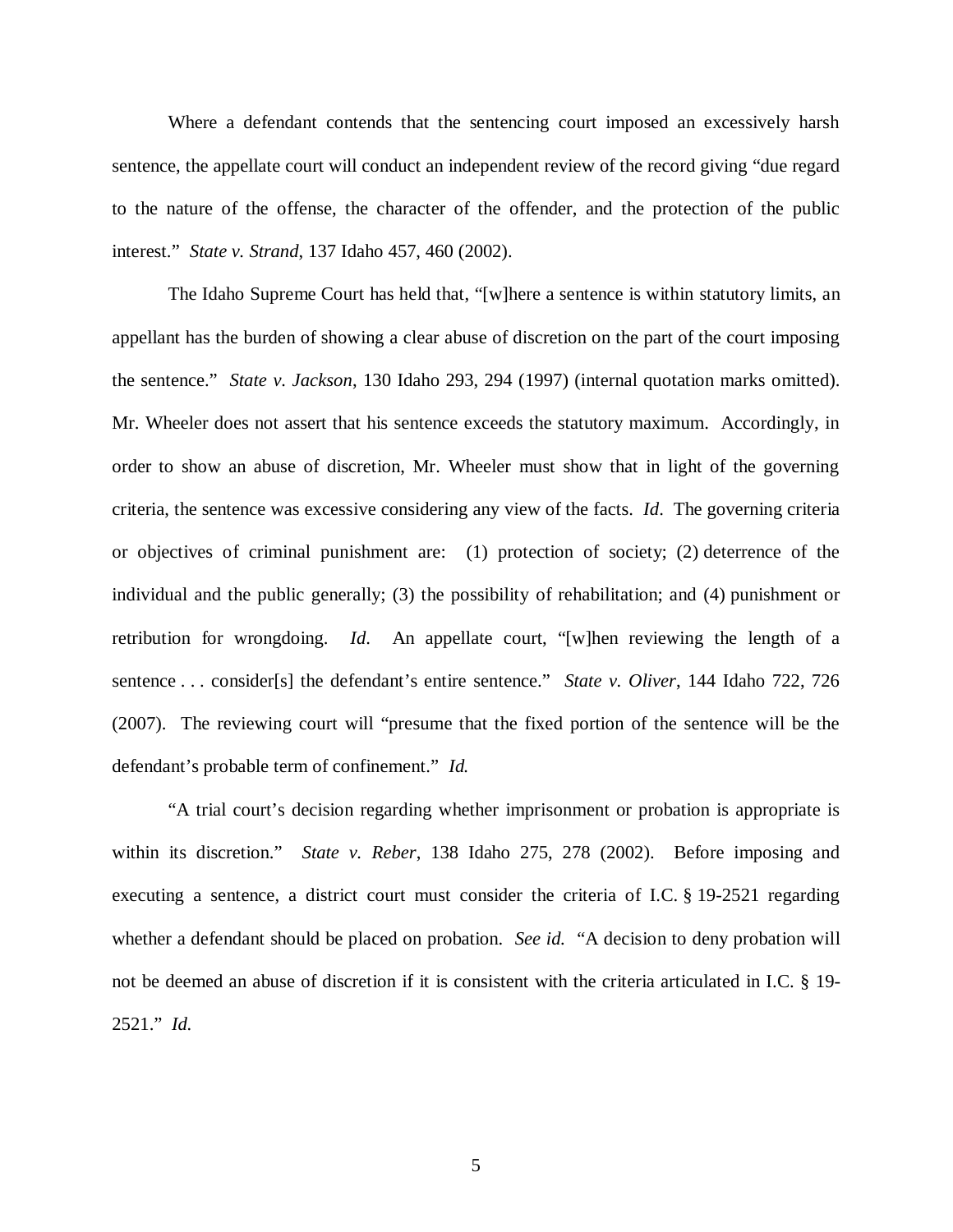Where a defendant contends that the sentencing court imposed an excessively harsh sentence, the appellate court will conduct an independent review of the record giving "due regard to the nature of the offense, the character of the offender, and the protection of the public interest." *State v. Strand*, 137 Idaho 457, 460 (2002).

The Idaho Supreme Court has held that, "[w]here a sentence is within statutory limits, an appellant has the burden of showing a clear abuse of discretion on the part of the court imposing the sentence." *State v. Jackson*, 130 Idaho 293, 294 (1997) (internal quotation marks omitted). Mr. Wheeler does not assert that his sentence exceeds the statutory maximum. Accordingly, in order to show an abuse of discretion, Mr. Wheeler must show that in light of the governing criteria, the sentence was excessive considering any view of the facts. *Id*. The governing criteria or objectives of criminal punishment are: (1) protection of society; (2) deterrence of the individual and the public generally; (3) the possibility of rehabilitation; and (4) punishment or retribution for wrongdoing. *Id*. An appellate court, "[w]hen reviewing the length of a sentence . . . consider[s] the defendant's entire sentence." *State v. Oliver*, 144 Idaho 722, 726 (2007). The reviewing court will "presume that the fixed portion of the sentence will be the defendant's probable term of confinement." *Id.*

"A trial court's decision regarding whether imprisonment or probation is appropriate is within its discretion." *State v. Reber*, 138 Idaho 275, 278 (2002). Before imposing and executing a sentence, a district court must consider the criteria of I.C. § 19-2521 regarding whether a defendant should be placed on probation. *See id.* "A decision to deny probation will not be deemed an abuse of discretion if it is consistent with the criteria articulated in I.C. § 19- 2521." *Id.*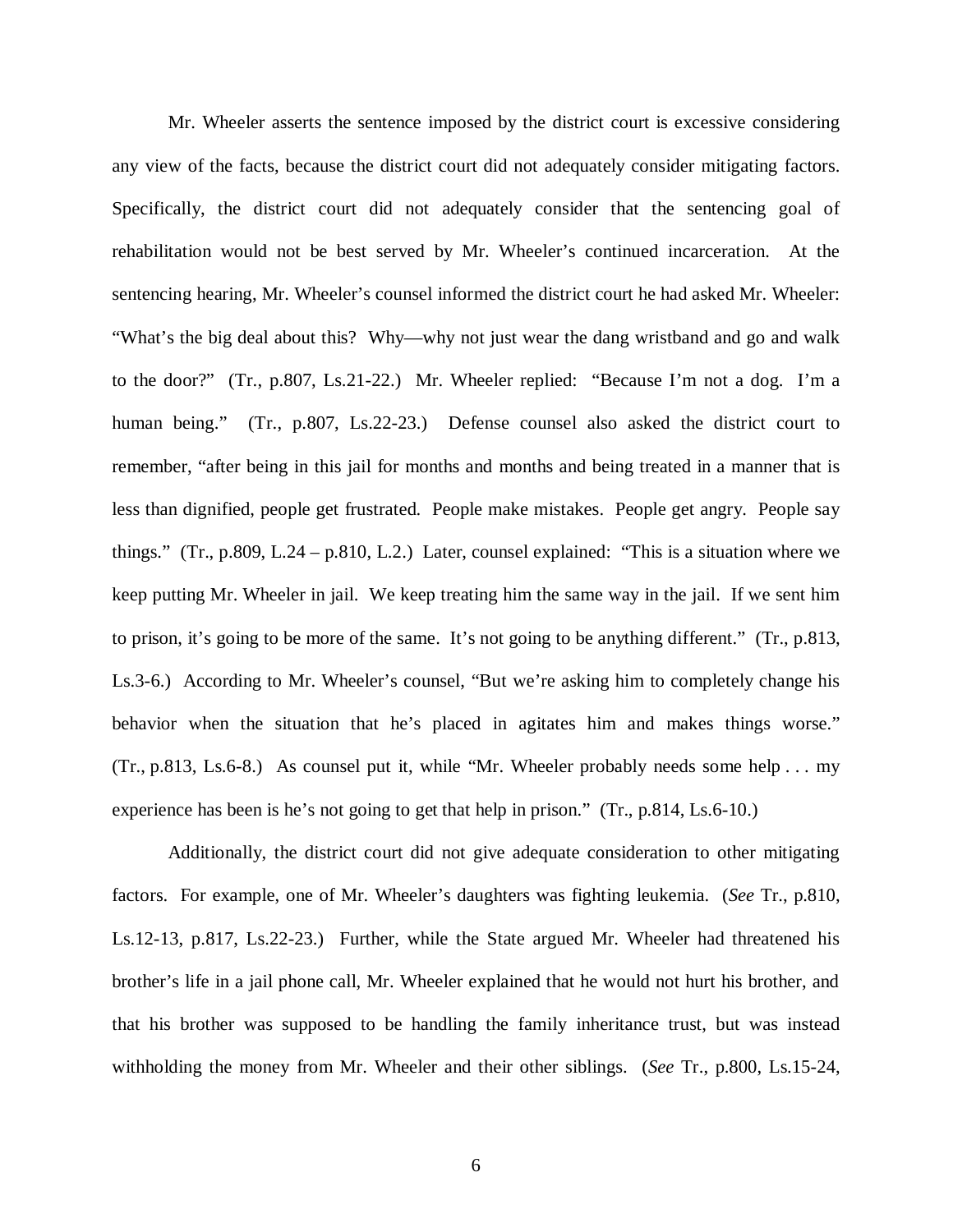Mr. Wheeler asserts the sentence imposed by the district court is excessive considering any view of the facts, because the district court did not adequately consider mitigating factors. Specifically, the district court did not adequately consider that the sentencing goal of rehabilitation would not be best served by Mr. Wheeler's continued incarceration. At the sentencing hearing, Mr. Wheeler's counsel informed the district court he had asked Mr. Wheeler: "What's the big deal about this? Why—why not just wear the dang wristband and go and walk to the door?" (Tr., p.807, Ls.21-22.) Mr. Wheeler replied: "Because I'm not a dog. I'm a human being." (Tr., p.807, Ls.22-23.) Defense counsel also asked the district court to remember, "after being in this jail for months and months and being treated in a manner that is less than dignified, people get frustrated. People make mistakes. People get angry. People say things." (Tr., p.809, L.24 – p.810, L.2.) Later, counsel explained: "This is a situation where we keep putting Mr. Wheeler in jail. We keep treating him the same way in the jail. If we sent him to prison, it's going to be more of the same. It's not going to be anything different." (Tr., p.813, Ls.3-6.) According to Mr. Wheeler's counsel, "But we're asking him to completely change his behavior when the situation that he's placed in agitates him and makes things worse." (Tr., p.813, Ls.6-8.) As counsel put it, while "Mr. Wheeler probably needs some help . . . my experience has been is he's not going to get that help in prison." (Tr., p.814, Ls.6-10.)

Additionally, the district court did not give adequate consideration to other mitigating factors. For example, one of Mr. Wheeler's daughters was fighting leukemia. (*See* Tr., p.810, Ls.12-13, p.817, Ls.22-23.) Further, while the State argued Mr. Wheeler had threatened his brother's life in a jail phone call, Mr. Wheeler explained that he would not hurt his brother, and that his brother was supposed to be handling the family inheritance trust, but was instead withholding the money from Mr. Wheeler and their other siblings. (*See* Tr., p.800, Ls.15-24,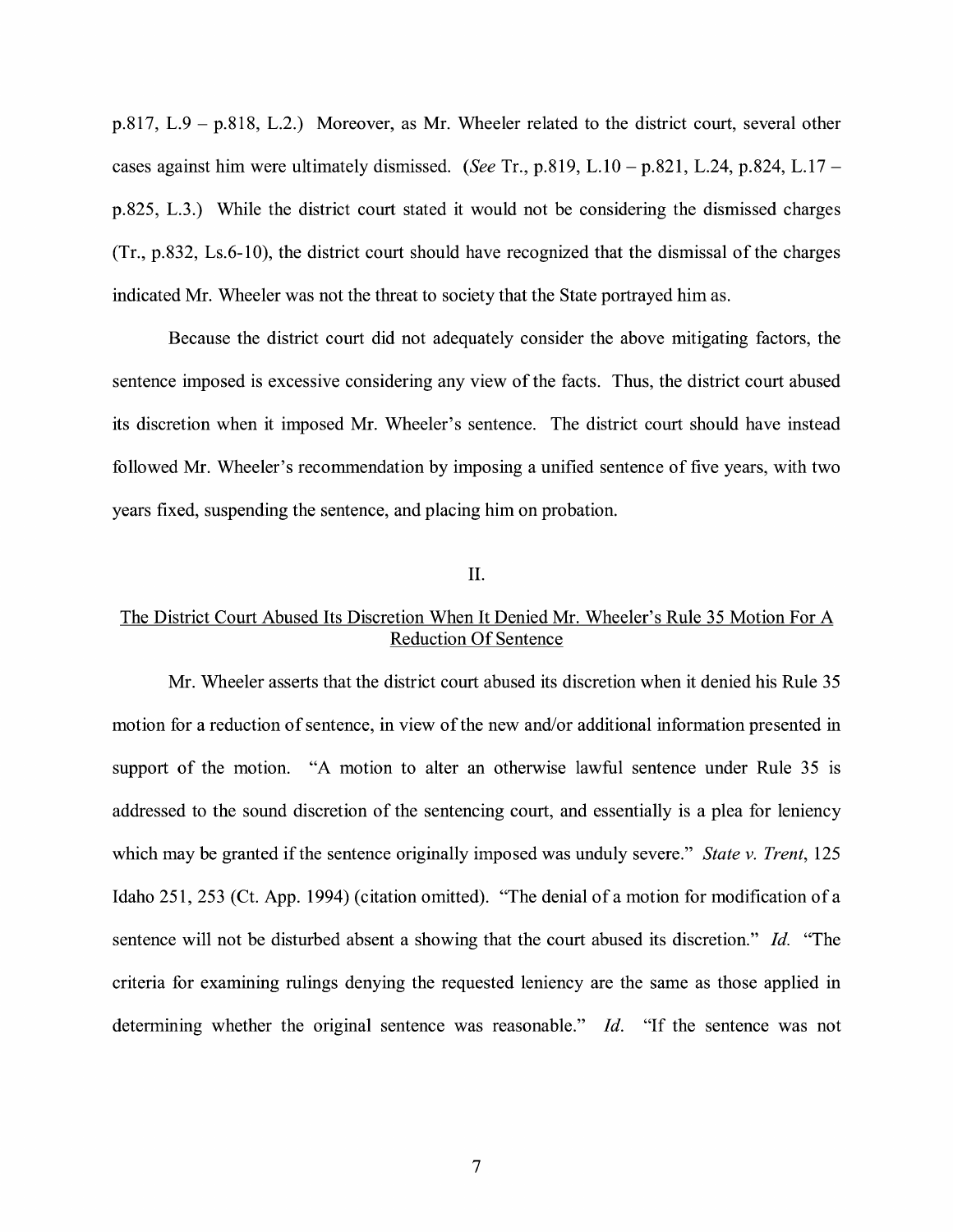p.817, L.9 - p.818, L.2.) Moreover, as Mr. Wheeler related to the district court, several other cases against him were ultimately dismissed. *(See* Tr., p.819, L.10 - p.821, L.24, p.824, L.17 p.825, L.3.) While the district court stated it would not be considering the dismissed charges (Tr., p.832, Ls.6-10), the district court should have recognized that the dismissal of the charges indicated Mr. Wheeler was not the threat to society that the State portrayed him as.

Because the district court did not adequately consider the above mitigating factors, the sentence imposed is excessive considering any view of the facts. Thus, the district court abused its discretion when it imposed Mr. Wheeler's sentence. The district court should have instead followed Mr. Wheeler's recommendation by imposing a unified sentence of five years, with two years fixed, suspending the sentence, and placing him on probation.

II.

# The District Court Abused Its Discretion When It Denied Mr. Wheeler's Rule 35 Motion For A Reduction Of Sentence

Mr. Wheeler asserts that the district court abused its discretion when it denied his Rule 35 motion for a reduction of sentence, in view of the new and/or additional information presented in support of the motion. "A motion to alter an otherwise lawful sentence under Rule 35 is addressed to the sound discretion of the sentencing court, and essentially is a plea for leniency which may be granted if the sentence originally imposed was unduly severe." *State v. Trent,* 125 Idaho 251,253 (Ct. App. 1994) (citation omitted). "The denial of a motion for modification of a sentence will not be disturbed absent a showing that the court abused its discretion." *Id.* "The criteria for examining rulings denying the requested leniency are the same as those applied in determining whether the original sentence was reasonable." *Id.* "If the sentence was not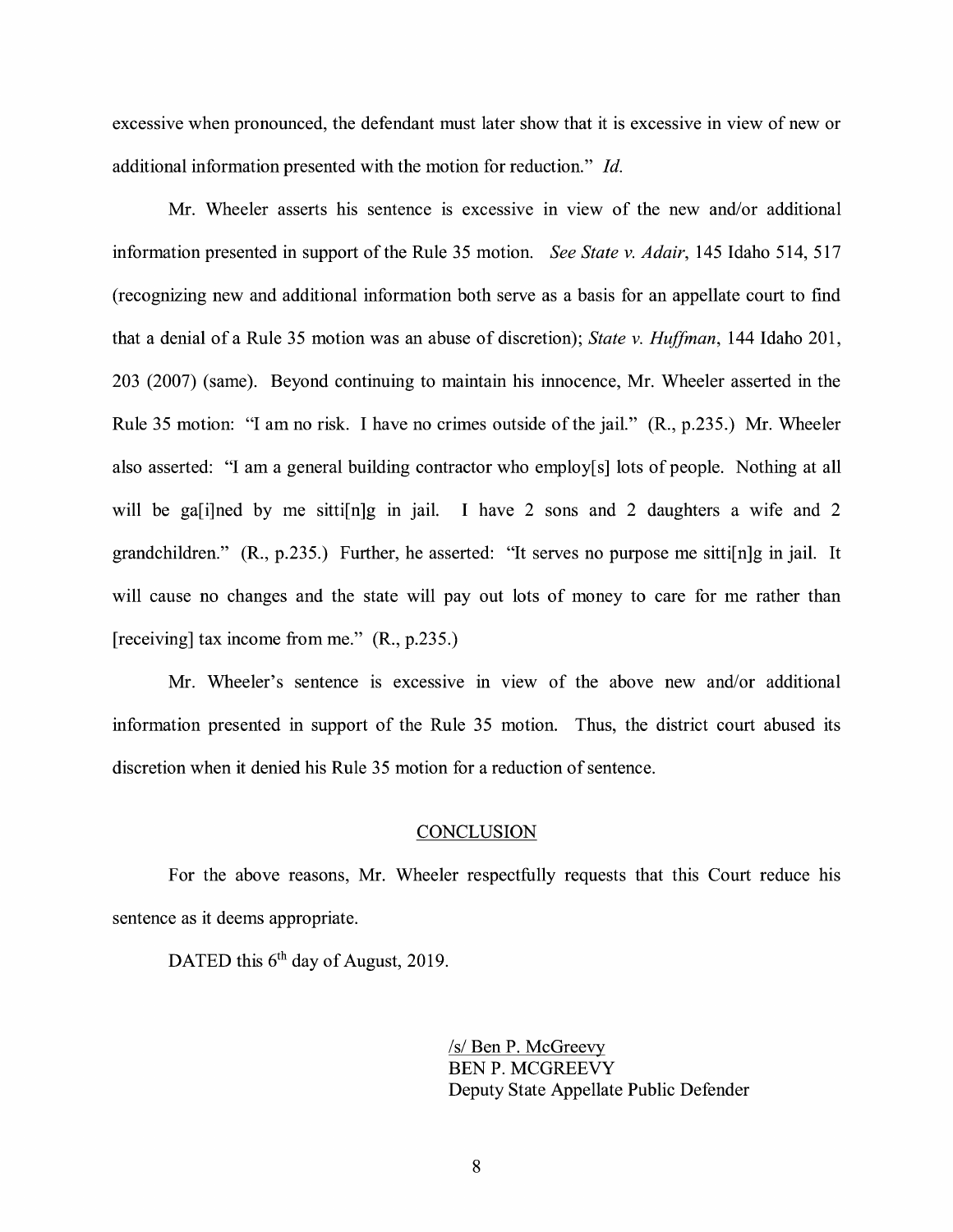excessive when pronounced, the defendant must later show that it is excessive in view of new or additional information presented with the motion for reduction." *Id.* 

Mr. Wheeler asserts his sentence is excessive in view of the new and/or additional information presented in support of the Rule 35 motion. *See State v. Adair,* 145 Idaho 514, 517 (recognizing new and additional information both serve as a basis for an appellate court to find that a denial of a Rule 35 motion was an abuse of discretion); *State v. Huffman,* 144 Idaho 201, 203 (2007) (same). Beyond continuing to maintain his innocence, Mr. Wheeler asserted in the Rule 35 motion: "I am no risk. I have no crimes outside of the jail." (R., p.235.) Mr. Wheeler also asserted: "I am a general building contractor who employ[s] lots of people. Nothing at all will be ga<sub>[i]</sub> ned by me sitti<sub>[n]</sub>g in jail. I have 2 sons and 2 daughters a wife and 2 grandchildren." **(R.,** p.235.) Further, he asserted: "It serves no purpose me sitti[n]g in jail. It will cause no changes and the state will pay out lots of money to care for me rather than [receiving] tax income from me." **(R.,** p.235.)

Mr. Wheeler's sentence is excessive m view of the above new and/or additional information presented in support of the Rule 35 motion. Thus, the district court abused its discretion when it denied his Rule 35 motion for a reduction of sentence.

### **CONCLUSION**

For the above reasons, Mr. Wheeler respectfully requests that this Court reduce his sentence as it deems appropriate.

DATED this 6<sup>th</sup> day of August, 2019.

/s/ Ben P. McGreevy BEN P. MCGREEVY Deputy State Appellate Public Defender

8